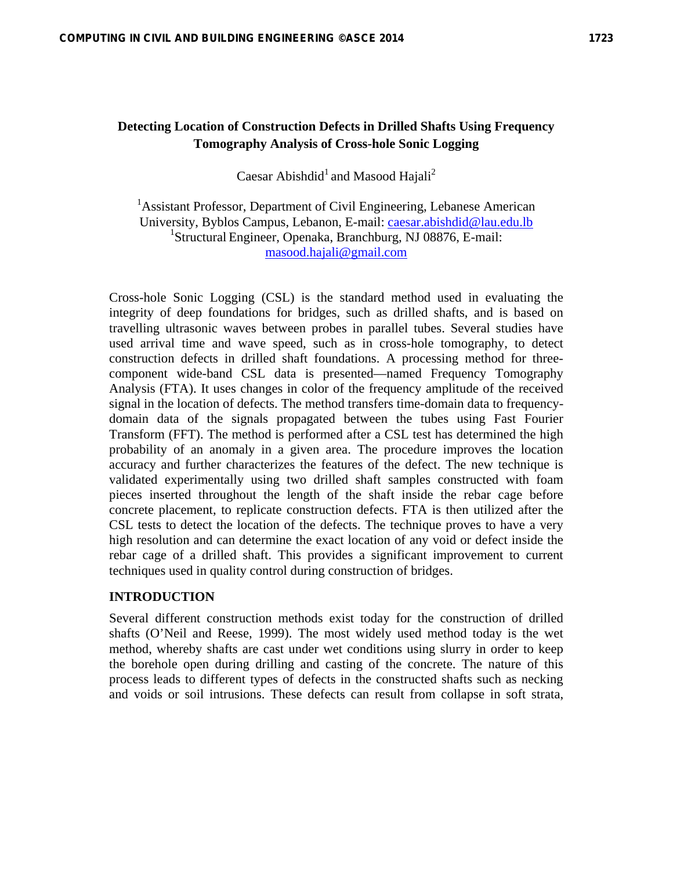# **Detecting Location of Construction Defects in Drilled Shafts Using Frequency Tomography Analysis of Cross-hole Sonic Logging**

Caesar Abishdid<sup>1</sup> and Masood Hajali<sup>2</sup>

<sup>1</sup> Assistant Professor, Department of Civil Engineering, Lebanese American University, Byblos Campus, Lebanon, E-mail: caesar.abishdid@lau.edu.lb <sup>1</sup>Structural Engineer, Openaka, Branchburg, NJ 08876, E-mail: masood.hajali@gmail.com

Cross-hole Sonic Logging (CSL) is the standard method used in evaluating the integrity of deep foundations for bridges, such as drilled shafts, and is based on travelling ultrasonic waves between probes in parallel tubes. Several studies have used arrival time and wave speed, such as in cross-hole tomography, to detect construction defects in drilled shaft foundations. A processing method for threecomponent wide-band CSL data is presented—named Frequency Tomography Analysis (FTA). It uses changes in color of the frequency amplitude of the received signal in the location of defects. The method transfers time-domain data to frequencydomain data of the signals propagated between the tubes using Fast Fourier Transform (FFT). The method is performed after a CSL test has determined the high probability of an anomaly in a given area. The procedure improves the location accuracy and further characterizes the features of the defect. The new technique is validated experimentally using two drilled shaft samples constructed with foam pieces inserted throughout the length of the shaft inside the rebar cage before concrete placement, to replicate construction defects. FTA is then utilized after the CSL tests to detect the location of the defects. The technique proves to have a very high resolution and can determine the exact location of any void or defect inside the rebar cage of a drilled shaft. This provides a significant improvement to current techniques used in quality control during construction of bridges.

### **INTRODUCTION**

Several different construction methods exist today for the construction of drilled shafts (O'Neil and Reese, 1999). The most widely used method today is the wet method, whereby shafts are cast under wet conditions using slurry in order to keep the borehole open during drilling and casting of the concrete. The nature of this process leads to different types of defects in the constructed shafts such as necking and voids or soil intrusions. These defects can result from collapse in soft strata,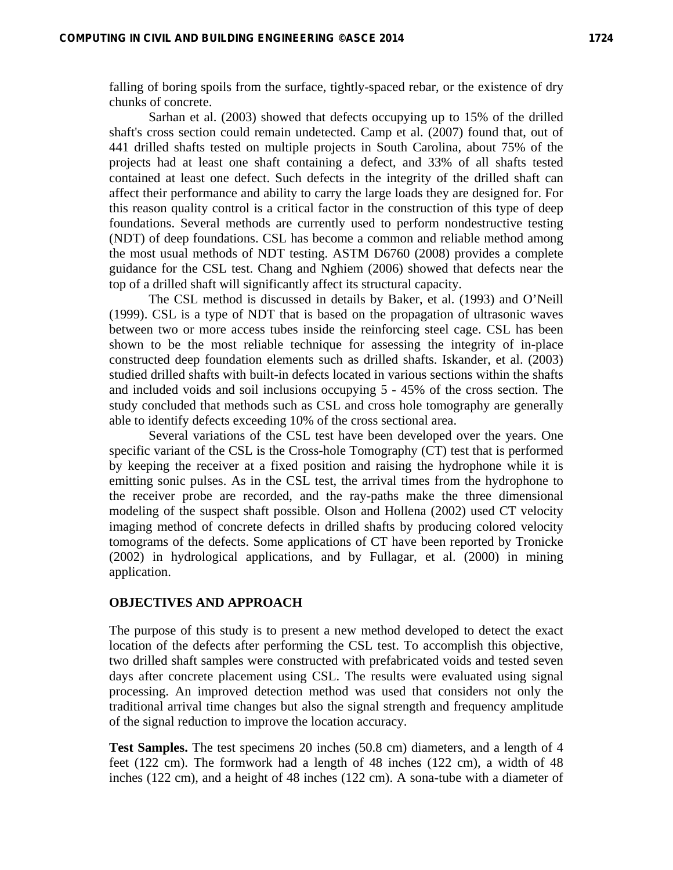falling of boring spoils from the surface, tightly-spaced rebar, or the existence of dry chunks of concrete.

Sarhan et al. (2003) showed that defects occupying up to 15% of the drilled shaft's cross section could remain undetected. Camp et al. (2007) found that, out of 441 drilled shafts tested on multiple projects in South Carolina, about 75% of the projects had at least one shaft containing a defect, and 33% of all shafts tested contained at least one defect. Such defects in the integrity of the drilled shaft can affect their performance and ability to carry the large loads they are designed for. For this reason quality control is a critical factor in the construction of this type of deep foundations. Several methods are currently used to perform nondestructive testing (NDT) of deep foundations. CSL has become a common and reliable method among the most usual methods of NDT testing. ASTM D6760 (2008) provides a complete guidance for the CSL test. Chang and Nghiem (2006) showed that defects near the top of a drilled shaft will significantly affect its structural capacity.

The CSL method is discussed in details by Baker, et al. (1993) and O'Neill (1999). CSL is a type of NDT that is based on the propagation of ultrasonic waves between two or more access tubes inside the reinforcing steel cage. CSL has been shown to be the most reliable technique for assessing the integrity of in-place constructed deep foundation elements such as drilled shafts. Iskander, et al. (2003) studied drilled shafts with built-in defects located in various sections within the shafts and included voids and soil inclusions occupying 5 - 45% of the cross section. The study concluded that methods such as CSL and cross hole tomography are generally able to identify defects exceeding 10% of the cross sectional area.

Several variations of the CSL test have been developed over the years. One specific variant of the CSL is the Cross-hole Tomography (CT) test that is performed by keeping the receiver at a fixed position and raising the hydrophone while it is emitting sonic pulses. As in the CSL test, the arrival times from the hydrophone to the receiver probe are recorded, and the ray-paths make the three dimensional modeling of the suspect shaft possible. Olson and Hollena (2002) used CT velocity imaging method of concrete defects in drilled shafts by producing colored velocity tomograms of the defects. Some applications of CT have been reported by Tronicke (2002) in hydrological applications, and by Fullagar, et al. (2000) in mining application.

### **OBJECTIVES AND APPROACH**

The purpose of this study is to present a new method developed to detect the exact location of the defects after performing the CSL test. To accomplish this objective, two drilled shaft samples were constructed with prefabricated voids and tested seven days after concrete placement using CSL. The results were evaluated using signal processing. An improved detection method was used that considers not only the traditional arrival time changes but also the signal strength and frequency amplitude of the signal reduction to improve the location accuracy.

**Test Samples.** The test specimens 20 inches (50.8 cm) diameters, and a length of 4 feet (122 cm). The formwork had a length of 48 inches (122 cm), a width of 48 inches (122 cm), and a height of 48 inches (122 cm). A sona-tube with a diameter of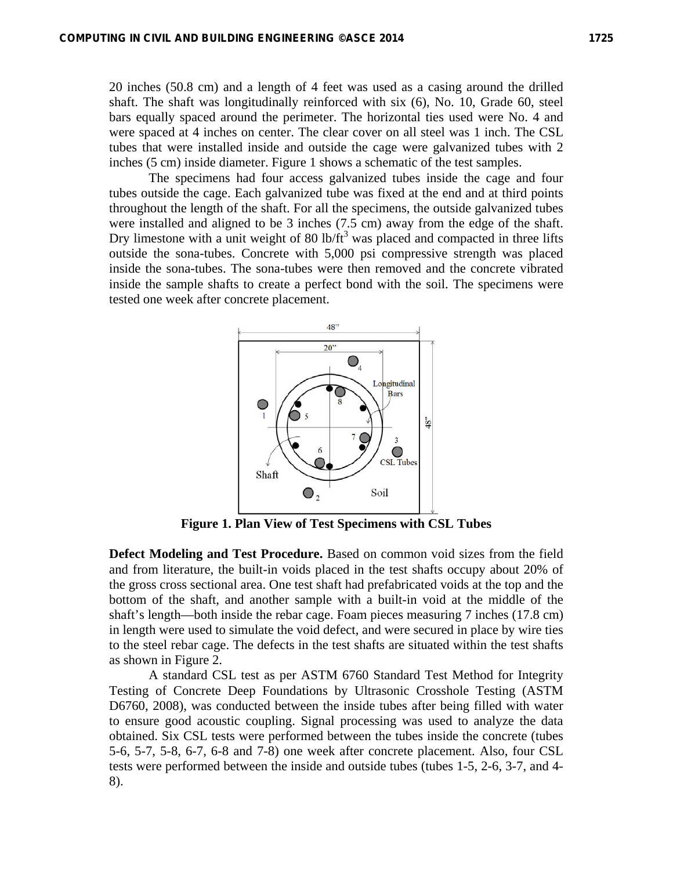20 inches (50.8 cm) and a length of 4 feet was used as a casing around the drilled shaft. The shaft was longitudinally reinforced with six (6), No. 10, Grade 60, steel bars equally spaced around the perimeter. The horizontal ties used were No. 4 and were spaced at 4 inches on center. The clear cover on all steel was 1 inch. The CSL tubes that were installed inside and outside the cage were galvanized tubes with 2 inches (5 cm) inside diameter. Figure 1 shows a schematic of the test samples.

 The specimens had four access galvanized tubes inside the cage and four tubes outside the cage. Each galvanized tube was fixed at the end and at third points throughout the length of the shaft. For all the specimens, the outside galvanized tubes were installed and aligned to be 3 inches (7.5 cm) away from the edge of the shaft. Dry limestone with a unit weight of  $80 \text{ lb/ft}^3$  was placed and compacted in three lifts outside the sona-tubes. Concrete with 5,000 psi compressive strength was placed inside the sona-tubes. The sona-tubes were then removed and the concrete vibrated inside the sample shafts to create a perfect bond with the soil. The specimens were tested one week after concrete placement.



**Figure 1. Plan View of Test Specimens with CSL Tubes** 

**Defect Modeling and Test Procedure.** Based on common void sizes from the field and from literature, the built-in voids placed in the test shafts occupy about 20% of the gross cross sectional area. One test shaft had prefabricated voids at the top and the bottom of the shaft, and another sample with a built-in void at the middle of the shaft's length—both inside the rebar cage. Foam pieces measuring 7 inches (17.8 cm) in length were used to simulate the void defect, and were secured in place by wire ties to the steel rebar cage. The defects in the test shafts are situated within the test shafts as shown in Figure 2.

A standard CSL test as per ASTM 6760 Standard Test Method for Integrity Testing of Concrete Deep Foundations by Ultrasonic Crosshole Testing (ASTM D6760, 2008), was conducted between the inside tubes after being filled with water to ensure good acoustic coupling. Signal processing was used to analyze the data obtained. Six CSL tests were performed between the tubes inside the concrete (tubes 5-6, 5-7, 5-8, 6-7, 6-8 and 7-8) one week after concrete placement. Also, four CSL tests were performed between the inside and outside tubes (tubes 1-5, 2-6, 3-7, and 4- 8).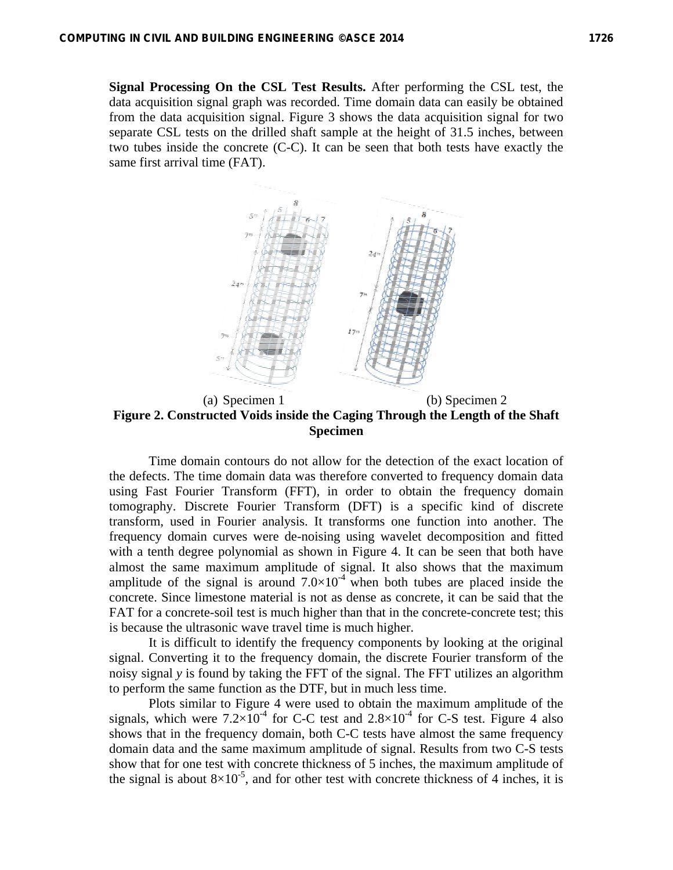**Signal Processing On the CSL Test Results.** After performing the CSL test, the data acquisition signal graph was recorded. Time domain data can easily be obtained from the data acquisition signal. Figure 3 shows the data acquisition signal for two separate CSL tests on the drilled shaft sample at the height of 31.5 inches, between two tubes inside the concrete (C-C). It can be seen that both tests have exactly the same first arrival time (FAT).



(a) Specimen 1 (b) Specimen 2 **Figure 2. Constructed Voids inside the Caging Through the Length of the Shaft Specimen** 

Time domain contours do not allow for the detection of the exact location of the defects. The time domain data was therefore converted to frequency domain data using Fast Fourier Transform (FFT), in order to obtain the frequency domain tomography. Discrete Fourier Transform (DFT) is a specific kind of discrete transform, used in Fourier analysis. It transforms one function into another. The frequency domain curves were de-noising using wavelet decomposition and fitted with a tenth degree polynomial as shown in Figure 4. It can be seen that both have almost the same maximum amplitude of signal. It also shows that the maximum amplitude of the signal is around  $7.0\times10^{-4}$  when both tubes are placed inside the concrete. Since limestone material is not as dense as concrete, it can be said that the FAT for a concrete-soil test is much higher than that in the concrete-concrete test; this is because the ultrasonic wave travel time is much higher.

It is difficult to identify the frequency components by looking at the original signal. Converting it to the frequency domain, the discrete Fourier transform of the noisy signal *y* is found by taking the FFT of the signal. The FFT utilizes an algorithm to perform the same function as the DTF, but in much less time.

Plots similar to Figure 4 were used to obtain the maximum amplitude of the signals, which were  $7.2\times10^{-4}$  for C-C test and  $2.8\times10^{-4}$  for C-S test. Figure 4 also shows that in the frequency domain, both C-C tests have almost the same frequency domain data and the same maximum amplitude of signal. Results from two C-S tests show that for one test with concrete thickness of 5 inches, the maximum amplitude of the signal is about  $8\times10^{-5}$ , and for other test with concrete thickness of 4 inches, it is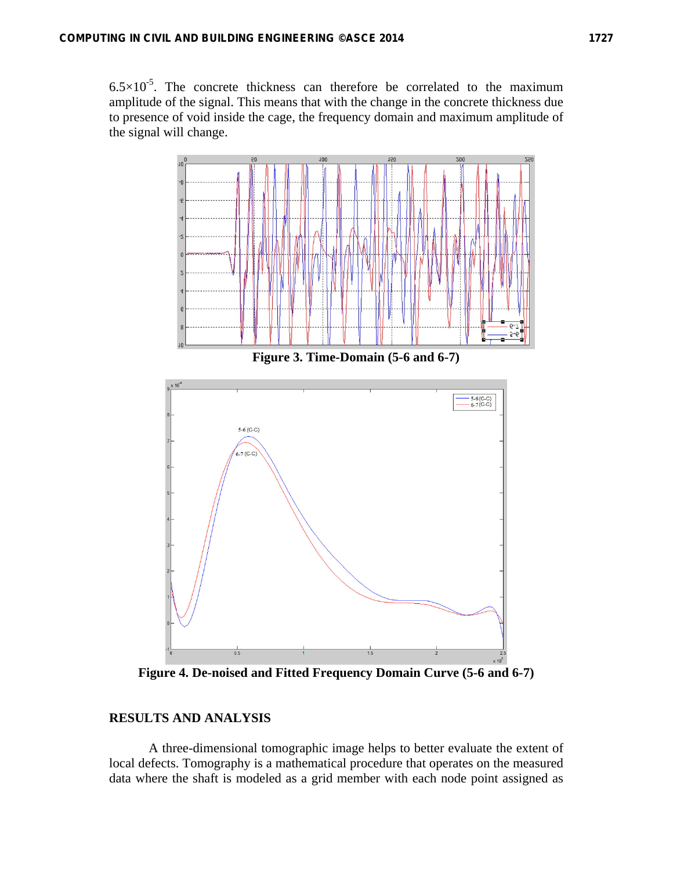$6.5 \times 10^{-5}$ . The concrete thickness can therefore be correlated to the maximum amplitude of the signal. This means that with the change in the concrete thickness due to presence of void inside the cage, the frequency domain and maximum amplitude of the signal will change.



**Figure 4. De-noised and Fitted Frequency Domain Curve (5-6 and 6-7)** 

## **RESULTS AND ANALYSIS**

A three-dimensional tomographic image helps to better evaluate the extent of local defects. Tomography is a mathematical procedure that operates on the measured data where the shaft is modeled as a grid member with each node point assigned as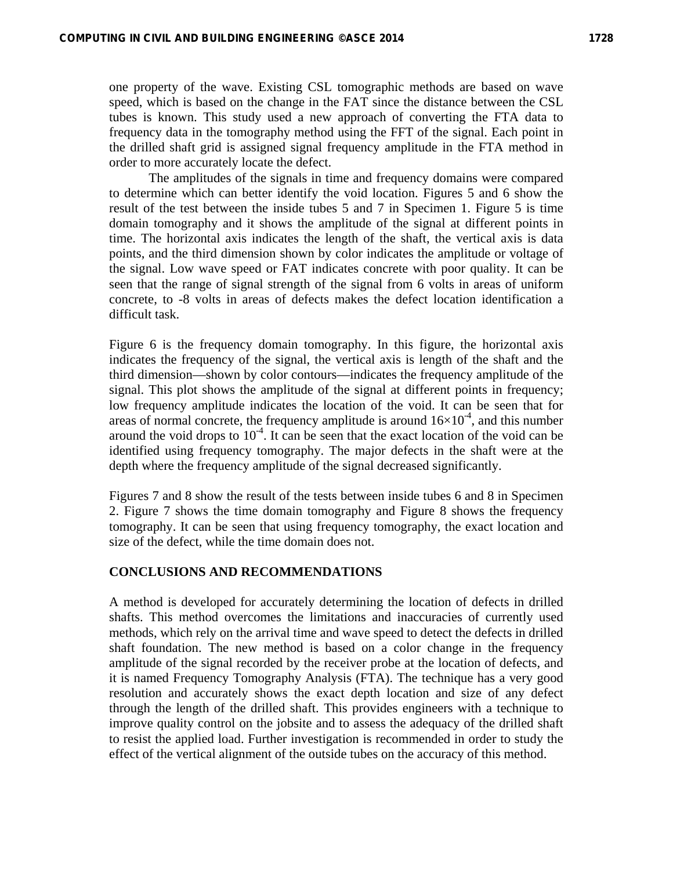one property of the wave. Existing CSL tomographic methods are based on wave speed, which is based on the change in the FAT since the distance between the CSL tubes is known. This study used a new approach of converting the FTA data to frequency data in the tomography method using the FFT of the signal. Each point in the drilled shaft grid is assigned signal frequency amplitude in the FTA method in order to more accurately locate the defect.

The amplitudes of the signals in time and frequency domains were compared to determine which can better identify the void location. Figures 5 and 6 show the result of the test between the inside tubes 5 and 7 in Specimen 1. Figure 5 is time domain tomography and it shows the amplitude of the signal at different points in time. The horizontal axis indicates the length of the shaft, the vertical axis is data points, and the third dimension shown by color indicates the amplitude or voltage of the signal. Low wave speed or FAT indicates concrete with poor quality. It can be seen that the range of signal strength of the signal from 6 volts in areas of uniform concrete, to -8 volts in areas of defects makes the defect location identification a difficult task.

Figure 6 is the frequency domain tomography. In this figure, the horizontal axis indicates the frequency of the signal, the vertical axis is length of the shaft and the third dimension—shown by color contours—indicates the frequency amplitude of the signal. This plot shows the amplitude of the signal at different points in frequency; low frequency amplitude indicates the location of the void. It can be seen that for areas of normal concrete, the frequency amplitude is around  $16\times10^{-4}$ , and this number around the void drops to  $10^{-4}$ . It can be seen that the exact location of the void can be identified using frequency tomography. The major defects in the shaft were at the depth where the frequency amplitude of the signal decreased significantly.

Figures 7 and 8 show the result of the tests between inside tubes 6 and 8 in Specimen 2. Figure 7 shows the time domain tomography and Figure 8 shows the frequency tomography. It can be seen that using frequency tomography, the exact location and size of the defect, while the time domain does not.

### **CONCLUSIONS AND RECOMMENDATIONS**

A method is developed for accurately determining the location of defects in drilled shafts. This method overcomes the limitations and inaccuracies of currently used methods, which rely on the arrival time and wave speed to detect the defects in drilled shaft foundation. The new method is based on a color change in the frequency amplitude of the signal recorded by the receiver probe at the location of defects, and it is named Frequency Tomography Analysis (FTA). The technique has a very good resolution and accurately shows the exact depth location and size of any defect through the length of the drilled shaft. This provides engineers with a technique to improve quality control on the jobsite and to assess the adequacy of the drilled shaft to resist the applied load. Further investigation is recommended in order to study the effect of the vertical alignment of the outside tubes on the accuracy of this method.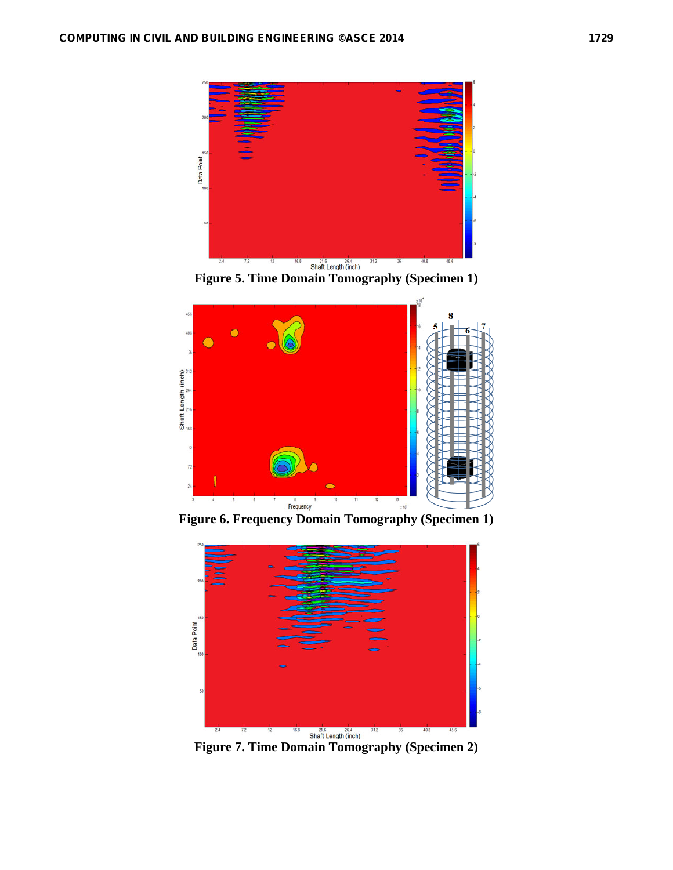

**Figure 5. Time Domain Tomography (Specimen 1)** 



**Figure 6. Frequency Domain Tomography (Specimen 1)**